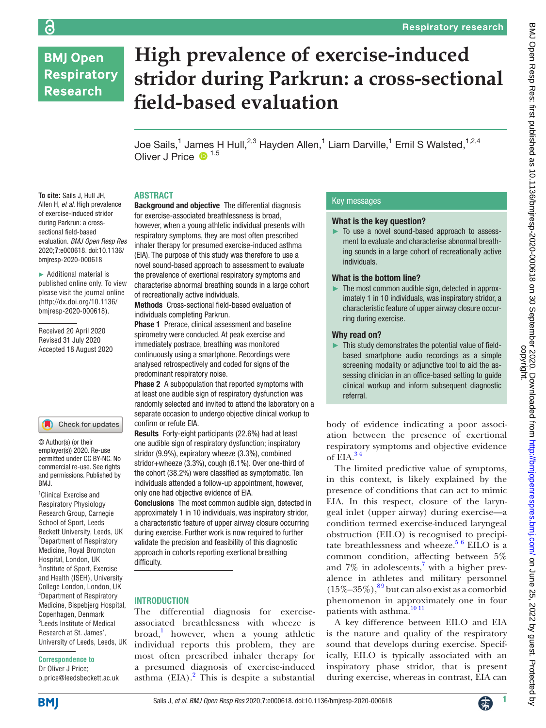# **BMJ Open Respiratory Research**

ခြ

# **High prevalence of exercise-induced stridor during Parkrun: a cross-sectional field-based evaluation**

Joe Sails, $^1$  James H Hull, $^{2,3}$  Hayden Allen, $^1$  Liam Darville, $^1$  Emil S Walsted, $^{1,2,4}$ Oliver J Price  $\mathbf{D}^{1,5}$ 

### ABSTRACT

**To cite:** Sails J, Hull JH, Allen H, *et al*. High prevalence of exercise-induced stridor during Parkrun: a crosssectional field-based evaluation. *BMJ Open Resp Res* 2020;**7**:e000618. doi:10.1136/ bmjresp-2020-000618

► Additional material is published online only. To view please visit the journal online (http://dx.doi.org/10.1136/ bmjresp-2020-000618).

Received 20 April 2020 Revised 31 July 2020 Accepted 18 August 2020

#### Check for updates

© Author(s) (or their employer(s)) 2020. Re-use permitted under CC BY-NC. No commercial re-use. See rights and permissions. Published by BMJ.

<sup>1</sup> Clinical Exercise and Respiratory Physiology Research Group, Carnegie School of Sport, Leeds Beckett University, Leeds, UK 2 Department of Respiratory Medicine, Royal Brompton Hospital, London, UK 3 Institute of Sport, Exercise and Health (ISEH), University College London, London, UK 4 Department of Respiratory Medicine, Bispebjerg Hospital, Copenhagen, Denmark 5 Leeds Institute of Medical Research at St. James', University of Leeds, Leeds, UK

**Correspondence to**

Dr Oliver J Price; o.price@leedsbeckett.ac.uk

Background and objective The differential diagnosis for exercise-associated breathlessness is broad, however, when a young athletic individual presents with respiratory symptoms, they are most often prescribed inhaler therapy for presumed exercise-induced asthma (EIA). The purpose of this study was therefore to use a novel sound-based approach to assessment to evaluate the prevalence of exertional respiratory symptoms and characterise abnormal breathing sounds in a large cohort of recreationally active individuals.

Methods Cross-sectional field-based evaluation of individuals completing Parkrun.

Phase 1 Prerace, clinical assessment and baseline spirometry were conducted. At peak exercise and immediately postrace, breathing was monitored continuously using a smartphone. Recordings were analysed retrospectively and coded for signs of the predominant respiratory noise.

Phase 2 A subpopulation that reported symptoms with at least one audible sign of respiratory dysfunction was randomly selected and invited to attend the laboratory on a separate occasion to undergo objective clinical workup to confirm or refute EIA.

Results Forty-eight participants (22.6%) had at least one audible sign of respiratory dysfunction; inspiratory stridor (9.9%), expiratory wheeze (3.3%), combined stridor+wheeze (3.3%), cough (6.1%). Over one-third of the cohort (38.2%) were classified as symptomatic. Ten individuals attended a follow-up appointment, however, only one had objective evidence of EIA.

Conclusions The most common audible sign, detected in approximately 1 in 10 individuals, was inspiratory stridor, a characteristic feature of upper airway closure occurring during exercise. Further work is now required to further validate the precision and feasibility of this diagnostic approach in cohorts reporting exertional breathing difficulty.

### INTRODUCTION

The differential diagnosis for exerciseassociated breathlessness with wheeze is broad,<sup>1</sup> however, when a young athletic individual reports this problem, they are most often prescribed inhaler therapy for a presumed diagnosis of exercise-induced asthma  $(EIA).<sup>2</sup>$  $(EIA).<sup>2</sup>$  $(EIA).<sup>2</sup>$  This is despite a substantial

# Key messages

# What is the key question?

To use a novel sound-based approach to assessment to evaluate and characterise abnormal breathing sounds in a large cohort of recreationally active individuals.

## What is the bottom line?

► The most common audible sign, detected in approximately 1 in 10 individuals, was inspiratory stridor, a characteristic feature of upper airway closure occurring during exercise.

#### Why read on?

This study demonstrates the potential value of fieldbased smartphone audio recordings as a simple screening modality or adjunctive tool to aid the assessing clinician in an office-based setting to guide clinical workup and inform subsequent diagnostic referral.

body of evidence indicating a poor association between the presence of exertional respiratory symptoms and objective evidence of EIA. $34$ 

The limited predictive value of symptoms, in this context, is likely explained by the presence of conditions that can act to mimic EIA. In this respect, closure of the laryngeal inlet (upper airway) during exercise—a condition termed exercise-induced laryngeal obstruction (EILO) is recognised to precipi-tate breathlessness and wheeze.<sup>[5 6](#page-5-3)</sup> EILO is a common condition, affecting between 5% and  $7\%$  $7\%$  in adolescents,<sup>7</sup> with a higher prevalence in athletes and military personnel  $(15\% - 35\%)$ ,  $89$  but can also exist as a comorbid phenomenon in approximately one in four patients with asthma.<sup>[10 11](#page-5-6)</sup>

A key difference between EILO and EIA is the nature and quality of the respiratory sound that develops during exercise. Specifically, EILO is typically associated with an inspiratory phase stridor, that is present during exercise, whereas in contrast, EIA can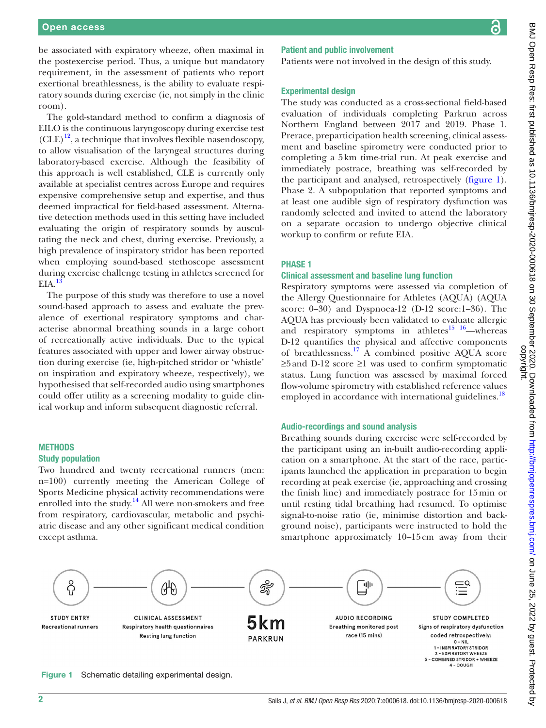be associated with expiratory wheeze, often maximal in the postexercise period. Thus, a unique but mandatory requirement, in the assessment of patients who report exertional breathlessness, is the ability to evaluate respiratory sounds during exercise (ie, not simply in the clinic room).

The gold-standard method to confirm a diagnosis of EILO is the continuous laryngoscopy during exercise test  $(CLE)^{12}$ , a technique that involves flexible nasendoscopy, to allow visualisation of the laryngeal structures during laboratory-based exercise. Although the feasibility of this approach is well established, CLE is currently only available at specialist centres across Europe and requires expensive comprehensive setup and expertise, and thus deemed impractical for field-based assessment. Alternative detection methods used in this setting have included evaluating the origin of respiratory sounds by auscultating the neck and chest, during exercise. Previously, a high prevalence of inspiratory stridor has been reported when employing sound-based stethoscope assessment during exercise challenge testing in athletes screened for  $EIA.<sup>13</sup>$ 

The purpose of this study was therefore to use a novel sound-based approach to assess and evaluate the prevalence of exertional respiratory symptoms and characterise abnormal breathing sounds in a large cohort of recreationally active individuals. Due to the typical features associated with upper and lower airway obstruction during exercise (ie, high-pitched stridor or 'whistle' on inspiration and expiratory wheeze, respectively), we hypothesised that self-recorded audio using smartphones could offer utility as a screening modality to guide clinical workup and inform subsequent diagnostic referral.

# **METHODS**

#### Study population

Two hundred and twenty recreational runners (men: n=100) currently meeting the American College of Sports Medicine physical activity recommendations were enrolled into the study.<sup>[14](#page-5-9)</sup> All were non-smokers and free from respiratory, cardiovascular, metabolic and psychiatric disease and any other significant medical condition except asthma.

# Patient and public involvement

Patients were not involved in the design of this study.

#### Experimental design

The study was conducted as a cross-sectional field-based evaluation of individuals completing Parkrun across Northern England between 2017 and 2019. Phase 1. Prerace, preparticipation health screening, clinical assessment and baseline spirometry were conducted prior to completing a 5km time-trial run. At peak exercise and immediately postrace, breathing was self-recorded by the participant and analysed, retrospectively [\(figure](#page-1-0) 1). Phase 2. A subpopulation that reported symptoms and at least one audible sign of respiratory dysfunction was randomly selected and invited to attend the laboratory on a separate occasion to undergo objective clinical workup to confirm or refute EIA.

#### PHASE 1

#### Clinical assessment and baseline lung function

Respiratory symptoms were assessed via completion of the Allergy Questionnaire for Athletes (AQUA) (AQUA score: 0–30) and Dyspnoea-12 (D-12 score:1–36). The AQUA has previously been validated to evaluate allergic and respiratory symptoms in athletes<sup>15 16</sup>—whereas D-12 quantifies the physical and affective components of breathlessness[.17](#page-5-11) A combined positive AQUA score ≥5and D-12 score ≥1 was used to confirm symptomatic status. Lung function was assessed by maximal forced flow-volume spirometry with established reference values employed in accordance with international guidelines.<sup>18</sup>

#### Audio-recordings and sound analysis

Breathing sounds during exercise were self-recorded by the participant using an in-built audio-recording application on a smartphone. At the start of the race, participants launched the application in preparation to begin recording at peak exercise (ie, approaching and crossing the finish line) and immediately postrace for 15min or until resting tidal breathing had resumed. To optimise signal-to-noise ratio (ie, minimise distortion and background noise), participants were instructed to hold the smartphone approximately 10–15cm away from their



<span id="page-1-0"></span>Figure 1 Schematic detailing experimental design.

ခြ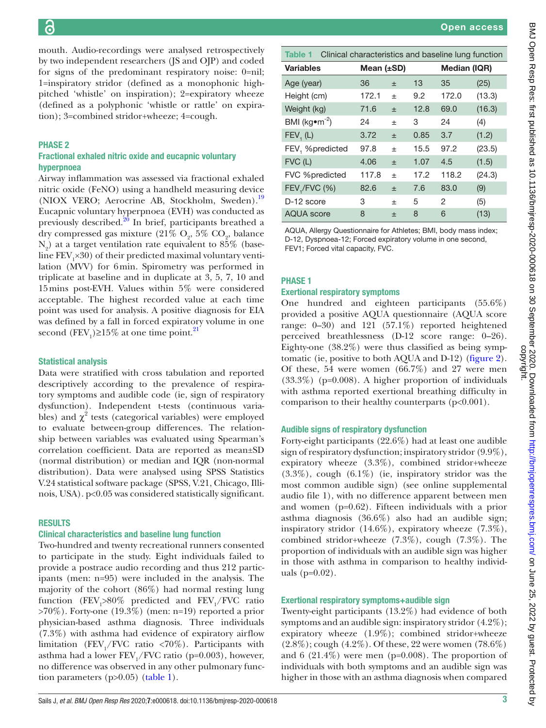mouth. Audio-recordings were analysed retrospectively by two independent researchers (JS and OJP) and coded for signs of the predominant respiratory noise: 0=nil; 1=inspiratory stridor (defined as a monophonic highpitched 'whistle' on inspiration); 2=expiratory wheeze (defined as a polyphonic 'whistle or rattle' on expiration); 3=combined stridor+wheeze; 4=cough.

# PHASE 2

# Fractional exhaled nitric oxide and eucapnic voluntary hyperpnoea

Airway inflammation was assessed via fractional exhaled nitric oxide (FeNO) using a handheld measuring device (NIOX VERO; Aerocrine AB, Stockholm, Sweden)[.19](#page-5-13) Eucapnic voluntary hyperpnoea (EVH) was conducted as previously described.<sup>[20](#page-5-14)</sup> In brief, participants breathed a dry compressed gas mixture (21%  $O_2$ , 5%  $CO_2$ , balance  $N_2$ ) at a target ventilation rate equivalent to 85% (baseline  $\text{FEV}_1\times30$ ) of their predicted maximal voluntary ventilation (MVV) for 6min. Spirometry was performed in triplicate at baseline and in duplicate at 3, 5, 7, 10 and 15mins post-EVH. Values within 5% were considered acceptable. The highest recorded value at each time point was used for analysis. A positive diagnosis for EIA was defined by a fall in forced expiratory volume in one second (FEV<sub>1</sub>)≥15% at one time point.<sup>[21](#page-5-15)</sup>

#### Statistical analysis

Data were stratified with cross tabulation and reported descriptively according to the prevalence of respiratory symptoms and audible code (ie, sign of respiratory dysfunction). Independent t-tests (continuous variables) and  $\chi^2$  tests (categorical variables) were employed to evaluate between-group differences. The relationship between variables was evaluated using Spearman's correlation coefficient. Data are reported as mean±SD (normal distribution) or median and IQR (non-normal distribution). Data were analysed using SPSS Statistics V.24 statistical software package (SPSS, V.21, Chicago, Illinois, USA). p<0.05 was considered statistically significant.

#### RESULTS

# Clinical characteristics and baseline lung function

Two-hundred and twenty recreational runners consented to participate in the study. Eight individuals failed to provide a postrace audio recording and thus 212 participants (men: n=95) were included in the analysis. The majority of the cohort (86%) had normal resting lung function (FEV<sub>1</sub>>80% predicted and FEV<sub>1</sub>/FVC ratio >70%). Forty-one (19.3%) (men: n=19) reported a prior physician-based asthma diagnosis. Three individuals (7.3%) with asthma had evidence of expiratory airflow limitation ( $FEV_1/FVC$  ratio <70%). Participants with asthma had a lower  $\rm FEV_1/FVC$  ratio (p=0.003), however, no difference was observed in any other pulmonary function parameters  $(p>0.05)$  ([table](#page-2-0) 1).

<span id="page-2-0"></span>

| <b>Table 1</b><br>Clinical characteristics and baseline lung function |                 |       |      |                     |        |  |  |  |  |
|-----------------------------------------------------------------------|-----------------|-------|------|---------------------|--------|--|--|--|--|
| <b>Variables</b>                                                      | Mean $(\pm SD)$ |       |      | <b>Median (IQR)</b> |        |  |  |  |  |
| Age (year)                                                            | 36              | $\pm$ | 13   | 35                  | (25)   |  |  |  |  |
| Height (cm)                                                           | 172.1           | 士     | 9.2  | 172.0               | (13.3) |  |  |  |  |
| Weight (kg)                                                           | 71.6            | 士     | 12.8 | 69.0                | (16.3) |  |  |  |  |
| BMI (kg•m <sup>-2</sup> )                                             | 24              | 土     | З    | 24                  | (4)    |  |  |  |  |
| FEV, (L)                                                              | 3.72            | 土     | 0.85 | 3.7                 | (1.2)  |  |  |  |  |
| FEV <sub>1</sub> %predicted                                           | 97.8            | 士     | 15.5 | 97.2                | (23.5) |  |  |  |  |
| $FVC$ (L)                                                             | 4.06            | 士     | 1.07 | 4.5                 | (1.5)  |  |  |  |  |
| FVC %predicted                                                        | 117.8           | 士     | 17.2 | 118.2               | (24.3) |  |  |  |  |
| FEV <sub>1</sub> /FVC (%)                                             | 82.6            | 士     | 7.6  | 83.0                | (9)    |  |  |  |  |
| D-12 score                                                            | 3               | 土     | 5    | 2                   | (5)    |  |  |  |  |
| <b>AQUA</b> score                                                     | 8               | 土     | 8    | 6                   | (13)   |  |  |  |  |

AQUA, Allergy Questionnaire for Athletes; BMI, body mass index; D-12, Dyspnoea-12; Forced expiratory volume in one second, FEV1; Forced vital capacity, FVC.

# PHASE 1

#### Exertional respiratory symptoms

One hundred and eighteen participants (55.6%) provided a positive AQUA questionnaire (AQUA score range: 0–30) and 121 (57.1%) reported heightened perceived breathlessness (D-12 score range: 0–26). Eighty-one (38.2%) were thus classified as being symptomatic (ie, positive to both AQUA and D-12) [\(figure](#page-3-0) 2). Of these, 54 were women (66.7%) and 27 were men (33.3%) (p=0.008). A higher proportion of individuals with asthma reported exertional breathing difficulty in comparison to their healthy counterparts  $(p<0.001)$ .

### Audible signs of respiratory dysfunction

Forty-eight participants (22.6%) had at least one audible sign of respiratory dysfunction; inspiratory stridor (9.9%), expiratory wheeze (3.3%), combined stridor+wheeze (3.3%), cough (6.1%) (ie, inspiratory stridor was the most common audible sign) (see [online supplemental](https://dx.doi.org/10.1136/bmjresp-2020-000618) [audio file 1](https://dx.doi.org/10.1136/bmjresp-2020-000618)), with no difference apparent between men and women (p=0.62). Fifteen individuals with a prior asthma diagnosis (36.6%) also had an audible sign; inspiratory stridor (14.6%), expiratory wheeze (7.3%), combined stridor+wheeze (7.3%), cough (7.3%). The proportion of individuals with an audible sign was higher in those with asthma in comparison to healthy individuals (p=0.02).

#### Exertional respiratory symptoms+audible sign

Twenty-eight participants (13.2%) had evidence of both symptoms and an audible sign: inspiratory stridor (4.2%); expiratory wheeze (1.9%); combined stridor+wheeze (2.8%); cough (4.2%). Of these, 22 were women (78.6%) and 6 (21.4%) were men (p=0.008). The proportion of individuals with both symptoms and an audible sign was higher in those with an asthma diagnosis when compared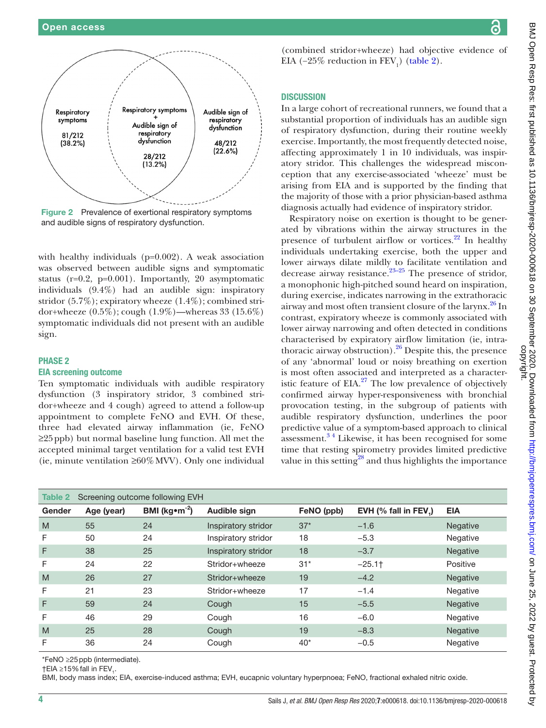

<span id="page-3-0"></span>Figure 2 Prevalence of exertional respiratory symptoms and audible signs of respiratory dysfunction.

with healthy individuals (p=0.002). A weak association was observed between audible signs and symptomatic status  $(r=0.2, p=0.001)$ . Importantly, 20 asymptomatic individuals (9.4%) had an audible sign: inspiratory stridor (5.7%); expiratory wheeze (1.4%); combined stridor+wheeze (0.5%); cough (1.9%)—whereas 33 (15.6%) symptomatic individuals did not present with an audible sign.

#### PHASE 2

#### EIA screening outcome

Ten symptomatic individuals with audible respiratory dysfunction (3 inspiratory stridor, 3 combined stridor+wheeze and 4 cough) agreed to attend a follow-up appointment to complete FeNO and EVH. Of these, three had elevated airway inflammation (ie, FeNO  $\geq$ 25 ppb) but normal baseline lung function. All met the accepted minimal target ventilation for a valid test EVH (ie, minute ventilation ≥60% MVV). Only one individual

(combined stridor+wheeze) had objective evidence of In a large cohort of recreational runners, we found that a substantial proportion of individuals has an audible sign of respiratory dysfunction, during their routine weekly exercise. Importantly, the most frequently detected noise, affecting approximately 1 in 10 individuals, was inspiratory stridor. This challenges the widespread misconception that any exercise-associated 'wheeze' must be arising from EIA and is supported by the finding that the majority of those with a prior physician-based asthma diagnosis actually had evidence of inspiratory stridor. Respiratory noise on exertion is thought to be generated by vibrations within the airway structures in the presence of turbulent airflow or vortices. $22$  In healthy individuals undertaking exercise, both the upper and lower airways dilate mildly to facilitate ventilation and decrease airway resistance.<sup>23–25</sup> The presence of stridor, a monophonic high-pitched sound heard on inspiration, during exercise, indicates narrowing in the extrathoracic airway and most often transient closure of the larynx.<sup>26</sup> In contrast, expiratory wheeze is commonly associated with lower airway narrowing and often detected in conditions characterised by expiratory airflow limitation (ie, intrathoracic airway obstruction). $^{26}$  Despite this, the presence of any 'abnormal' loud or noisy breathing on exertion is most often associated and interpreted as a characteristic feature of  $EIA<sup>27</sup>$  The low prevalence of objectively confirmed airway hyper-responsiveness with bronchial provocation testing, in the subgroup of patients with audible respiratory dysfunction, underlines the poor predictive value of a symptom-based approach to clinical assessment[.3 4](#page-5-2) Likewise, it has been recognised for some time that resting spirometry provides limited predictive value in this setting<sup>[28](#page-5-20)</sup> and thus highlights the importance BMJ Open Resp Res: first published as 10.1136/bmjresp-2020-000618 on 30 September 2020. Downloaded from http://bmjopenrespres.bmj.com/ on June 25, 2022 by guest. Protected by<br>copyright. BMJ Open Resp Res: first published as 10.1136/bmjresp-2020 bor 30 September 2020. Downloaded from <http://bmjopenrespres.bmj.com/> on June 25, 2022 by guest. Protected by

<span id="page-3-1"></span>

| Table 2 | Screening outcome following EVH |                           |                     |            |                      |                 |  |  |
|---------|---------------------------------|---------------------------|---------------------|------------|----------------------|-----------------|--|--|
| Gender  | Age (year)                      | BMI ( $kg \cdot m^{-2}$ ) | Audible sign        | FeNO (ppb) | EVH (% fall in FEV.) | <b>EIA</b>      |  |  |
| M       | 55                              | 24                        | Inspiratory stridor | $37*$      | $-1.6$               | <b>Negative</b> |  |  |
| F       | 50                              | 24                        | Inspiratory stridor | 18         | $-5.3$               | Negative        |  |  |
| F       | 38                              | 25                        | Inspiratory stridor | 18         | $-3.7$               | <b>Negative</b> |  |  |
| F       | 24                              | 22                        | Stridor+wheeze      | $31*$      | $-25.1$ <sup>+</sup> | Positive        |  |  |
| M       | 26                              | 27                        | Stridor+wheeze      | 19         | $-4.2$               | <b>Negative</b> |  |  |
| F       | 21                              | 23                        | Stridor+wheeze      | 17         | $-1.4$               | <b>Negative</b> |  |  |
| F       | 59                              | 24                        | Cough               | 15         | $-5.5$               | <b>Negative</b> |  |  |
| F       | 46                              | 29                        | Cough               | 16         | $-6.0$               | Negative        |  |  |
| M       | 25                              | 28                        | Cough               | 19         | $-8.3$               | <b>Negative</b> |  |  |
| F       | 36                              | 24                        | Cough               | $40*$      | $-0.5$               | Negative        |  |  |

\*FeNO ≥25ppb (intermediate).

†EIA ≥15% fall in FEV<sub>1</sub>.

BMI, body mass index; EIA, exercise-induced asthma; EVH, eucapnic voluntary hyperpnoea; FeNO, fractional exhaled nitric oxide.

EIA (-25% reduction in  $\text{FEV}_1$ ) ([table](#page-3-1) 2).

**DISCUSSION**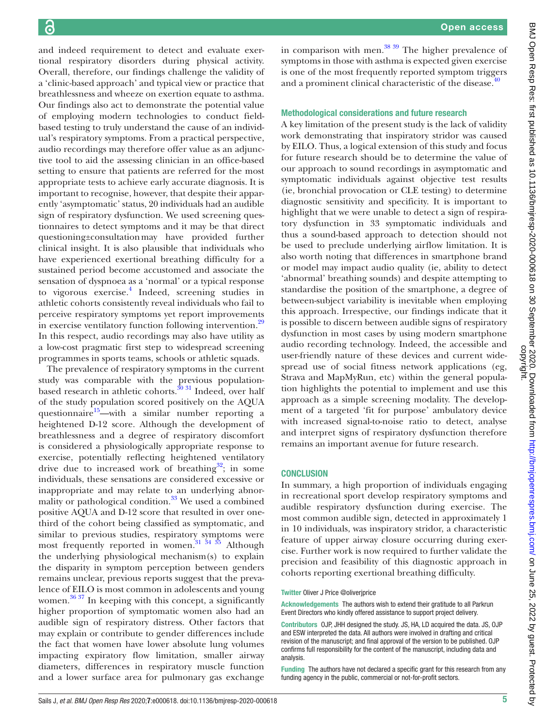and indeed requirement to detect and evaluate exertional respiratory disorders during physical activity. Overall, therefore, our findings challenge the validity of a 'clinic-based approach' and typical view or practice that breathlessness and wheeze on exertion equate to asthma. Our findings also act to demonstrate the potential value of employing modern technologies to conduct fieldbased testing to truly understand the cause of an individual's respiratory symptoms. From a practical perspective, audio recordings may therefore offer value as an adjunctive tool to aid the assessing clinician in an office-based setting to ensure that patients are referred for the most appropriate tests to achieve early accurate diagnosis. It is important to recognise, however, that despite their apparently 'asymptomatic' status, 20 individuals had an audible sign of respiratory dysfunction. We used screening questionnaires to detect symptoms and it may be that direct questioning±consultationmay have provided further clinical insight. It is also plausible that individuals who have experienced exertional breathing difficulty for a sustained period become accustomed and associate the sensation of dyspnoea as a 'normal' or a typical response to vigorous exercise.<sup>[4](#page-5-21)</sup> Indeed, screening studies in athletic cohorts consistently reveal individuals who fail to perceive respiratory symptoms yet report improvements in exercise ventilatory function following intervention.<sup>29</sup> In this respect, audio recordings may also have utility as a low-cost pragmatic first step to widespread screening programmes in sports teams, schools or athletic squads.

The prevalence of respiratory symptoms in the current study was comparable with the previous populationbased research in athletic cohorts. $3031$  Indeed, over half of the study population scored positively on the AQUA questionnaire<sup>15</sup>—with a similar number reporting a heightened D-12 score. Although the development of breathlessness and a degree of respiratory discomfort is considered a physiologically appropriate response to exercise, potentially reflecting heightened ventilatory drive due to increased work of breathing<sup>32</sup>; in some individuals, these sensations are considered excessive or inappropriate and may relate to an underlying abnormality or pathological condition. $33$  We used a combined positive AQUA and D-12 score that resulted in over onethird of the cohort being classified as symptomatic, and similar to previous studies, respiratory symptoms were most frequently reported in women.<sup>[31 34 35](#page-5-26)</sup> Although the underlying physiological mechanism(s) to explain the disparity in symptom perception between genders remains unclear, previous reports suggest that the prevalence of EILO is most common in adolescents and young women.<sup>36</sup> 37 In keeping with this concept, a significantly higher proportion of symptomatic women also had an audible sign of respiratory distress. Other factors that may explain or contribute to gender differences include the fact that women have lower absolute lung volumes impacting expiratory flow limitation, smaller airway diameters, differences in respiratory muscle function and a lower surface area for pulmonary gas exchange

in comparison with men. $38 \frac{39}{2}$  The higher prevalence of symptoms in those with asthma is expected given exercise is one of the most frequently reported symptom triggers and a prominent clinical characteristic of the disease.<sup>4</sup>

#### Methodological considerations and future research

A key limitation of the present study is the lack of validity work demonstrating that inspiratory stridor was caused by EILO. Thus, a logical extension of this study and focus for future research should be to determine the value of our approach to sound recordings in asymptomatic and symptomatic individuals against objective test results (ie, bronchial provocation or CLE testing) to determine diagnostic sensitivity and specificity. It is important to highlight that we were unable to detect a sign of respiratory dysfunction in 33 symptomatic individuals and thus a sound-based approach to detection should not be used to preclude underlying airflow limitation. It is also worth noting that differences in smartphone brand or model may impact audio quality (ie, ability to detect 'abnormal' breathing sounds) and despite attempting to standardise the position of the smartphone, a degree of between-subject variability is inevitable when employing this approach. Irrespective, our findings indicate that it is possible to discern between audible signs of respiratory dysfunction in most cases by using modern smartphone audio recording technology. Indeed, the accessible and user-friendly nature of these devices and current widespread use of social fitness network applications (eg, Strava and MapMyRun, etc) within the general population highlights the potential to implement and use this approach as a simple screening modality. The development of a targeted 'fit for purpose' ambulatory device with increased signal-to-noise ratio to detect, analyse and interpret signs of respiratory dysfunction therefore remains an important avenue for future research.

#### **CONCLUSION**

In summary, a high proportion of individuals engaging in recreational sport develop respiratory symptoms and audible respiratory dysfunction during exercise. The most common audible sign, detected in approximately 1 in 10 individuals, was inspiratory stridor, a characteristic feature of upper airway closure occurring during exercise. Further work is now required to further validate the precision and feasibility of this diagnostic approach in cohorts reporting exertional breathing difficulty.

#### Twitter Oliver J Price [@oliverjprice](https://twitter.com/oliverjprice)

Acknowledgements The authors wish to extend their gratitude to all Parkrun Event Directors who kindly offered assistance to support project delivery.

Contributors OJP, JHH designed the study. JS, HA, LD acquired the data. JS, OJP and ESW interpreted the data. All authors were involved in drafting and critical revision of the manuscript; and final approval of the version to be published. OJP confirms full responsibility for the content of the manuscript, including data and analysis.

Funding The authors have not declared a specific grant for this research from any funding agency in the public, commercial or not-for-profit sectors.